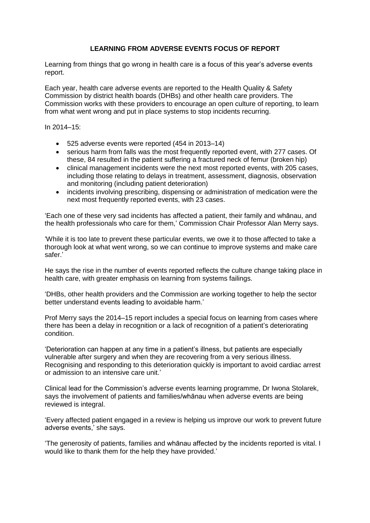## **LEARNING FROM ADVERSE EVENTS FOCUS OF REPORT**

Learning from things that go wrong in health care is a focus of this year's adverse events report.

Each year, health care adverse events are reported to the Health Quality & Safety Commission by district health boards (DHBs) and other health care providers. The Commission works with these providers to encourage an open culture of reporting, to learn from what went wrong and put in place systems to stop incidents recurring.

 $In 2014 - 15$ 

- 525 adverse events were reported (454 in 2013–14)
- serious harm from falls was the most frequently reported event, with 277 cases. Of these, 84 resulted in the patient suffering a fractured neck of femur (broken hip)
- clinical management incidents were the next most reported events, with 205 cases, including those relating to delays in treatment, assessment, diagnosis, observation and monitoring (including patient deterioration)
- incidents involving prescribing, dispensing or administration of medication were the next most frequently reported events, with 23 cases.

'Each one of these very sad incidents has affected a patient, their family and whānau, and the health professionals who care for them,' Commission Chair Professor Alan Merry says.

'While it is too late to prevent these particular events, we owe it to those affected to take a thorough look at what went wrong, so we can continue to improve systems and make care safer.'

He says the rise in the number of events reported reflects the culture change taking place in health care, with greater emphasis on learning from systems failings.

'DHBs, other health providers and the Commission are working together to help the sector better understand events leading to avoidable harm.'

Prof Merry says the 2014–15 report includes a special focus on learning from cases where there has been a delay in recognition or a lack of recognition of a patient's deteriorating condition.

'Deterioration can happen at any time in a patient's illness, but patients are especially vulnerable after surgery and when they are recovering from a very serious illness. Recognising and responding to this deterioration quickly is important to avoid cardiac arrest or admission to an intensive care unit.'

Clinical lead for the Commission's adverse events learning programme, Dr Iwona Stolarek, says the involvement of patients and families/whānau when adverse events are being reviewed is integral.

'Every affected patient engaged in a review is helping us improve our work to prevent future adverse events,' she says.

'The generosity of patients, families and whānau affected by the incidents reported is vital. I would like to thank them for the help they have provided.'